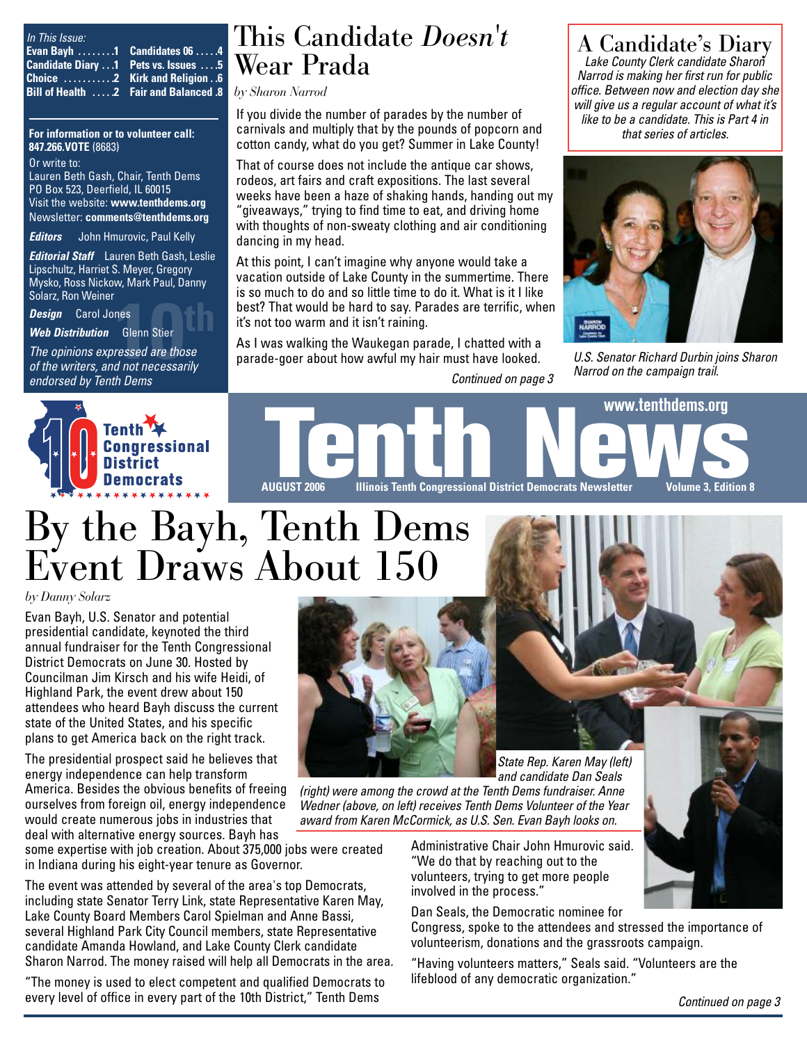| In This Issue:                             |  |
|--------------------------------------------|--|
| Evan Bayh 1 Candidates 06 4                |  |
| <b>Candidate Diary 1 Pets vs. Issues 5</b> |  |
|                                            |  |
| 8. Bill of Health 2 Fair and Balanced &    |  |

**For information or to volunteer call: 847.266.VOTE** (8683)

Or write to: Lauren Beth Gash, Chair, Tenth Dems PO Box 523, Deerfield, IL 60015 Visit the website: **www.tenthdems.org**  Newsletter: **comments@tenthdems.org**

*Editors* John Hmurovic, Paul Kelly

*Editorial Staff* Lauren Beth Gash, Leslie Lipschultz, Harriet S. Meyer, Gregory Mysko, Ross Nickow, Mark Paul, Danny Solarz, Ron Weiner

*Design* Carol Jones

*Web Distribution* Glenn Stier

*Design* Carol Jones<br> *Veb Distribution* Glenn Stier<br> *The opinions expressed are those*<br> *of the writers, and not necessarily The opinions expressed are those endorsed by Tenth Dems*

### This Candidate *Doesn't* Wear Prada

*by Sharon Narrod*

If you divide the number of parades by the number of carnivals and multiply that by the pounds of popcorn and cotton candy, what do you get? Summer in Lake County!

That of course does not include the antique car shows, rodeos, art fairs and craft expositions. The last several weeks have been a haze of shaking hands, handing out my "giveaways," trying to find time to eat, and driving home with thoughts of non-sweaty clothing and air conditioning dancing in my head.

At this point, I can't imagine why anyone would take a vacation outside of Lake County in the summertime. There is so much to do and so little time to do it. What is it I like best? That would be hard to say. Parades are terrific, when it's not too warm and it isn't raining.

As I was walking the Waukegan parade, I chatted with a parade-goer about how awful my hair must have looked.

A Candidate's Diary *Lake County Clerk candidate Sharon*

*Narrod is making her first run for public office. Between now and election day she will give us a regular account of what it's like to be a candidate. This is Part 4 in that series of articles.* 



*U.S. Senator Richard Durbin joins Sharon Narrod on the campaign trail.*





# By the Bayh, Tenth Dems Event Draws About 150

#### *by Danny Solarz*

Evan Bayh, U.S. Senator and potential presidential candidate, keynoted the third annual fundraiser for the Tenth Congressional District Democrats on June 30. Hosted by Councilman Jim Kirsch and his wife Heidi, of Highland Park, the event drew about 150 attendees who heard Bayh discuss the current state of the United States, and his specific plans to get America back on the right track.

The presidential prospect said he believes that energy independence can help transform America. Besides the obvious benefits of freeing ourselves from foreign oil, energy independence would create numerous jobs in industries that deal with alternative energy sources. Bayh has

some expertise with job creation. About 375,000 jobs were created in Indiana during his eight-year tenure as Governor.

The event was attended by several of the area's top Democrats, including state Senator Terry Link, state Representative Karen May, Lake County Board Members Carol Spielman and Anne Bassi, several Highland Park City Council members, state Representative candidate Amanda Howland, and Lake County Clerk candidate Sharon Narrod. The money raised will help all Democrats in the area.

"The money is used to elect competent and qualified Democrats to every level of office in every part of the 10th District," Tenth Dems



*and candidate Dan Seals (right) were among the crowd at the Tenth Dems fundraiser. Anne Wedner (above, on left) receives Tenth Dems Volunteer of the Year award from Karen McCormick, as U.S. Sen. Evan Bayh looks on.*

> Administrative Chair John Hmurovic said. "We do that by reaching out to the volunteers, trying to get more people involved in the process."

Dan Seals, the Democratic nominee for

Congress, spoke to the attendees and stressed the importance of volunteerism, donations and the grassroots campaign.

"Having volunteers matters," Seals said. "Volunteers are the lifeblood of any democratic organization."

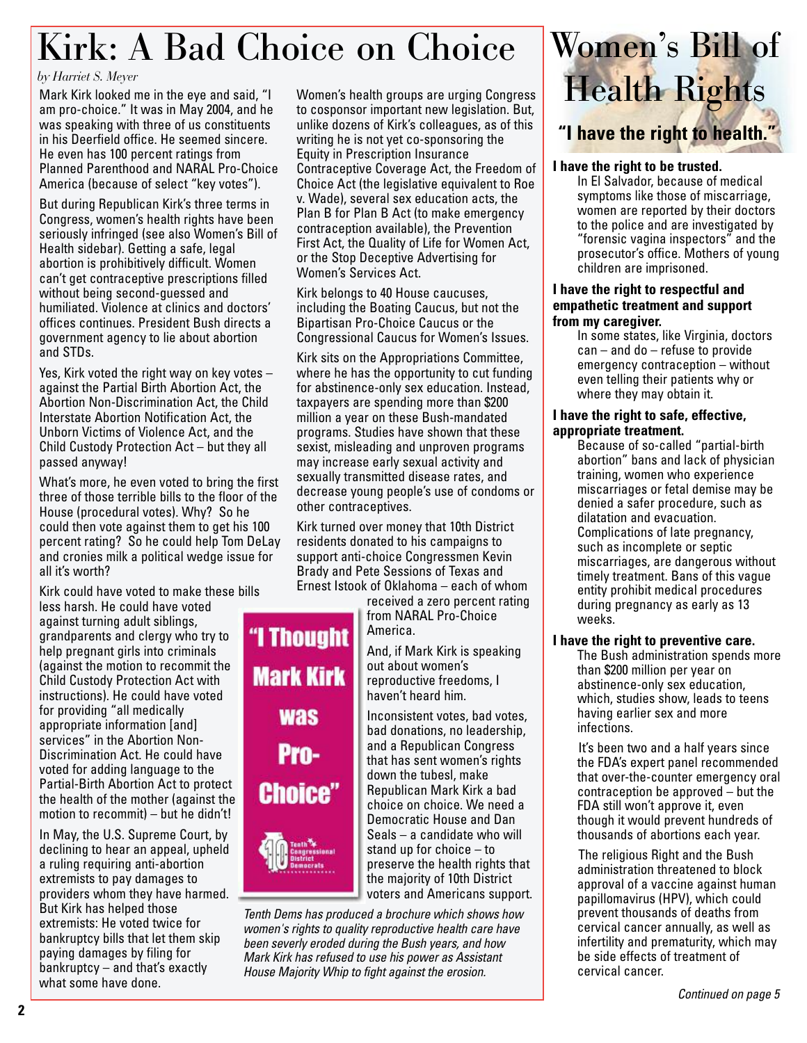# Kirk: A Bad Choice on Choice

#### *by Harriet S. Meyer*

Mark Kirk looked me in the eye and said, "I am pro-choice." It was in May 2004, and he was speaking with three of us constituents in his Deerfield office. He seemed sincere. He even has 100 percent ratings from Planned Parenthood and NARAL Pro-Choice America (because of select "key votes").

But during Republican Kirk's three terms in Congress, women's health rights have been seriously infringed (see also Women's Bill of Health sidebar). Getting a safe, legal abortion is prohibitively difficult. Women can't get contraceptive prescriptions filled without being second-guessed and humiliated. Violence at clinics and doctors' offices continues. President Bush directs a government agency to lie about abortion and STDs.

Yes, Kirk voted the right way on key votes – against the Partial Birth Abortion Act, the Abortion Non-Discrimination Act, the Child Interstate Abortion Notification Act, the Unborn Victims of Violence Act, and the Child Custody Protection Act – but they all passed anyway!

What's more, he even voted to bring the first three of those terrible bills to the floor of the House (procedural votes). Why? So he could then vote against them to get his 100 percent rating? So he could help Tom DeLay and cronies milk a political wedge issue for all it's worth?

Kirk could have voted to make these bills

less harsh. He could have voted against turning adult siblings, grandparents and clergy who try to help pregnant girls into criminals (against the motion to recommit the Child Custody Protection Act with instructions). He could have voted for providing "all medically appropriate information [and] services" in the Abortion Non-Discrimination Act. He could have voted for adding language to the Partial-Birth Abortion Act to protect the health of the mother (against the motion to recommit) – but he didn't!

In May, the U.S. Supreme Court, by declining to hear an appeal, upheld a ruling requiring anti-abortion extremists to pay damages to providers whom they have harmed. But Kirk has helped those extremists: He voted twice for bankruptcy bills that let them skip paying damages by filing for bankruptcy – and that's exactly what some have done.

Women's health groups are urging Congress to cosponsor important new legislation. But, unlike dozens of Kirk's colleagues, as of this writing he is not yet co-sponsoring the Equity in Prescription Insurance Contraceptive Coverage Act, the Freedom of Choice Act (the legislative equivalent to Roe v. Wade), several sex education acts, the Plan B for Plan B Act (to make emergency contraception available), the Prevention First Act, the Quality of Life for Women Act, or the Stop Deceptive Advertising for Women's Services Act.

Kirk belongs to 40 House caucuses, including the Boating Caucus, but not the Bipartisan Pro-Choice Caucus or the Congressional Caucus for Women's Issues.

Kirk sits on the Appropriations Committee, where he has the opportunity to cut funding for abstinence-only sex education. Instead, taxpayers are spending more than \$200 million a year on these Bush-mandated programs. Studies have shown that these sexist, misleading and unproven programs may increase early sexual activity and sexually transmitted disease rates, and decrease young people's use of condoms or other contraceptives.

Kirk turned over money that 10th District residents donated to his campaigns to support anti-choice Congressmen Kevin Brady and Pete Sessions of Texas and Ernest Istook of Oklahoma – each of whom

> received a zero percent rating from NARAL Pro-Choice America.

And, if Mark Kirk is speaking out about women's reproductive freedoms, I haven't heard him.

Inconsistent votes, bad votes, bad donations, no leadership, and a Republican Congress that has sent women's rights down the tubesl, make Republican Mark Kirk a bad choice on choice. We need a Democratic House and Dan Seals – a candidate who will stand up for choice – to preserve the health rights that the majority of 10th District voters and Americans support.

*Tenth Dems has produced a brochure which shows how women's rights to quality reproductive health care have been severly eroded during the Bush years, and how Mark Kirk has refused to use his power as Assistant House Majority Whip to fight against the erosion.*



#### **I have the right to be trusted.**

In El Salvador, because of medical symptoms like those of miscarriage, women are reported by their doctors to the police and are investigated by "forensic vagina inspectors" and the prosecutor's office. Mothers of young children are imprisoned.

#### **I have the right to respectful and empathetic treatment and support from my caregiver.**

In some states, like Virginia, doctors can – and do – refuse to provide emergency contraception – without even telling their patients why or where they may obtain it.

#### **I have the right to safe, effective, appropriate treatment.**

Because of so-called "partial-birth abortion" bans and lack of physician training, women who experience miscarriages or fetal demise may be denied a safer procedure, such as dilatation and evacuation. Complications of late pregnancy, such as incomplete or septic miscarriages, are dangerous without timely treatment. Bans of this vague entity prohibit medical procedures during pregnancy as early as 13 weeks.

#### **I have the right to preventive care.**

The Bush administration spends more than \$200 million per year on abstinence-only sex education, which, studies show, leads to teens having earlier sex and more infections.

It's been two and a half years since the FDA's expert panel recommended that over-the-counter emergency oral contraception be approved – but the FDA still won't approve it, even though it would prevent hundreds of thousands of abortions each year.

The religious Right and the Bush administration threatened to block approval of a vaccine against human papillomavirus (HPV), which could prevent thousands of deaths from cervical cancer annually, as well as infertility and prematurity, which may be side effects of treatment of cervical cancer.

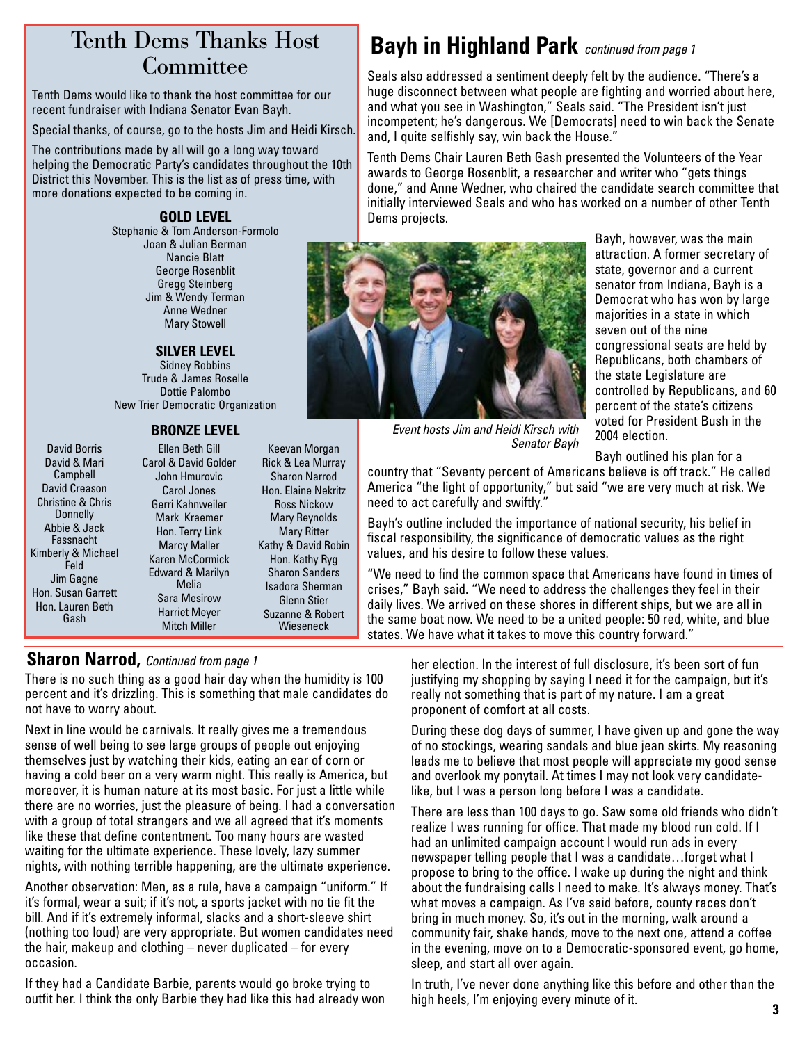# **Committee**

Tenth Dems would like to thank the host committee for our recent fundraiser with Indiana Senator Evan Bayh.

Special thanks, of course, go to the hosts Jim and Heidi Kirsch.

The contributions made by all will go a long way toward helping the Democratic Party's candidates throughout the 10th District this November. This is the list as of press time, with more donations expected to be coming in.

#### **GOLD LEVEL**

Stephanie & Tom Anderson-Formolo Joan & Julian Berman Nancie Blatt George Rosenblit Gregg Steinberg Jim & Wendy Terman Anne Wedner Mary Stowell

#### **SILVER LEVEL**

Sidney Robbins Trude & James Roselle Dottie Palombo New Trier Democratic Organization

#### **BRONZE LEVEL**

David Borris David & Mari Campbell David Creason Christine & Chris Donnelly Abbie & Jack Fassnacht Kimberly & Michael Feld Jim Gagne Hon. Susan Garrett Hon. Lauren Beth Gash

Ellen Beth Gill Carol & David Golder John Hmurovic Carol Jones Gerri Kahnweiler Mark Kraemer Hon. Terry Link Marcy Maller Karen McCormick Edward & Marilyn Melia Sara Mesirow Harriet Meyer Mitch Miller

Keevan Morgan Rick & Lea Murray Sharon Narrod Hon. Elaine Nekritz Ross Nickow Mary Reynolds Mary Ritter Kathy & David Robin Hon. Kathy Ryg Sharon Sanders Isadora Sherman Glenn Stier Suzanne & Robert Wieseneck

#### **Sharon Narrod,** *Continued from page 1*

There is no such thing as a good hair day when the humidity is 100 percent and it's drizzling. This is something that male candidates do not have to worry about.

Next in line would be carnivals. It really gives me a tremendous sense of well being to see large groups of people out enjoying themselves just by watching their kids, eating an ear of corn or having a cold beer on a very warm night. This really is America, but moreover, it is human nature at its most basic. For just a little while there are no worries, just the pleasure of being. I had a conversation with a group of total strangers and we all agreed that it's moments like these that define contentment. Too many hours are wasted waiting for the ultimate experience. These lovely, lazy summer nights, with nothing terrible happening, are the ultimate experience.

Another observation: Men, as a rule, have a campaign "uniform." If it's formal, wear a suit; if it's not, a sports jacket with no tie fit the bill. And if it's extremely informal, slacks and a short-sleeve shirt (nothing too loud) are very appropriate. But women candidates need the hair, makeup and clothing – never duplicated – for every occasion.

If they had a Candidate Barbie, parents would go broke trying to outfit her. I think the only Barbie they had like this had already won

### Tenth Dems Thanks Host **Bayh in Highland Park** *continued from page 1*

Seals also addressed a sentiment deeply felt by the audience. "There's a huge disconnect between what people are fighting and worried about here, and what you see in Washington," Seals said. "The President isn't just incompetent; he's dangerous. We [Democrats] need to win back the Senate and, I quite selfishly say, win back the House."

Tenth Dems Chair Lauren Beth Gash presented the Volunteers of the Year awards to George Rosenblit, a researcher and writer who "gets things done," and Anne Wedner, who chaired the candidate search committee that initially interviewed Seals and who has worked on a number of other Tenth Dems projects.



Bayh, however, was the main attraction. A former secretary of state, governor and a current senator from Indiana, Bayh is a Democrat who has won by large majorities in a state in which seven out of the nine congressional seats are held by Republicans, both chambers of the state Legislature are controlled by Republicans, and 60 percent of the state's citizens voted for President Bush in the 2004 election.

Bayh outlined his plan for a

country that "Seventy percent of Americans believe is off track." He called America "the light of opportunity," but said "we are very much at risk. We need to act carefully and swiftly."

*Senator Bayh*

Bayh's outline included the importance of national security, his belief in fiscal responsibility, the significance of democratic values as the right values, and his desire to follow these values.

"We need to find the common space that Americans have found in times of crises," Bayh said. "We need to address the challenges they feel in their daily lives. We arrived on these shores in different ships, but we are all in the same boat now. We need to be a united people: 50 red, white, and blue states. We have what it takes to move this country forward."

> her election. In the interest of full disclosure, it's been sort of fun justifying my shopping by saying I need it for the campaign, but it's really not something that is part of my nature. I am a great proponent of comfort at all costs.

During these dog days of summer, I have given up and gone the way of no stockings, wearing sandals and blue jean skirts. My reasoning leads me to believe that most people will appreciate my good sense and overlook my ponytail. At times I may not look very candidatelike, but I was a person long before I was a candidate.

There are less than 100 days to go. Saw some old friends who didn't realize I was running for office. That made my blood run cold. If I had an unlimited campaign account I would run ads in every newspaper telling people that I was a candidate…forget what I propose to bring to the office. I wake up during the night and think about the fundraising calls I need to make. It's always money. That's what moves a campaign. As I've said before, county races don't bring in much money. So, it's out in the morning, walk around a community fair, shake hands, move to the next one, attend a coffee in the evening, move on to a Democratic-sponsored event, go home, sleep, and start all over again.

In truth, I've never done anything like this before and other than the high heels, I'm enjoying every minute of it.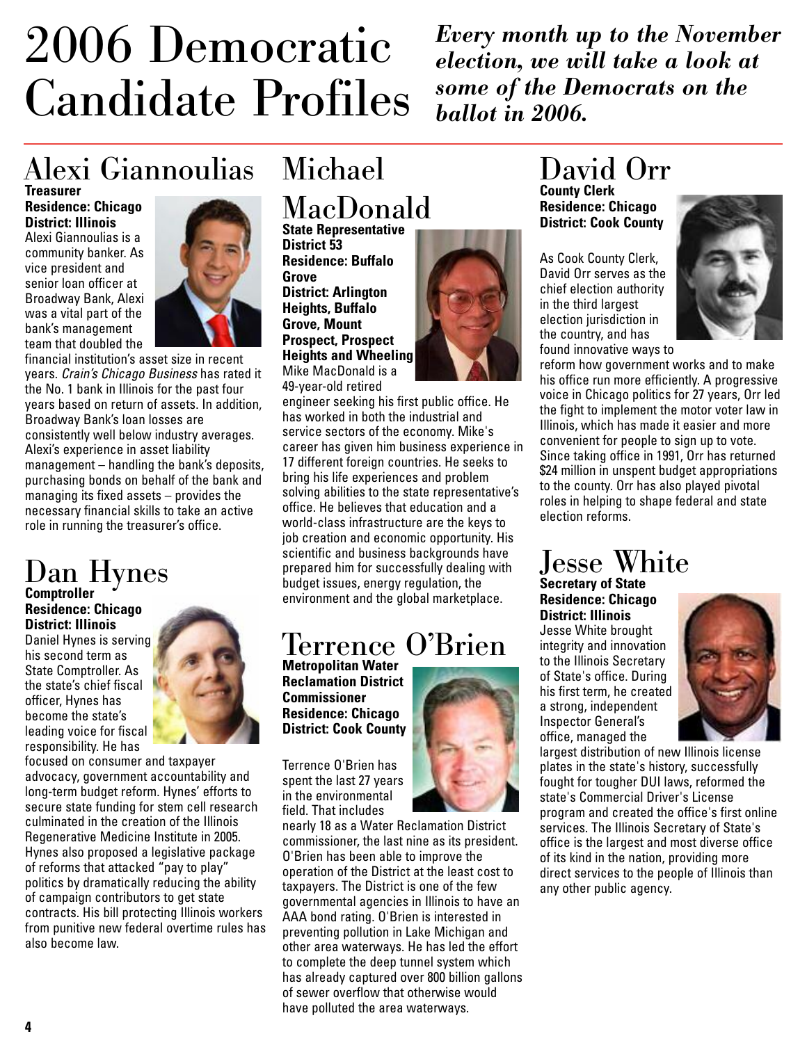# 2006 Democratic Candidate Profiles

*Every month up to the November election, we will take a look at some of the Democrats on the ballot in 2006.*

### Alexi Giannoulias **Treasurer**

**Residence: Chicago District: Illinois**

Alexi Giannoulias is a community banker. As vice president and senior loan officer at Broadway Bank, Alexi was a vital part of the bank's management team that doubled the



financial institution's asset size in recent years. *Crain's Chicago Business* has rated it the No. 1 bank in Illinois for the past four years based on return of assets. In addition, Broadway Bank's loan losses are consistently well below industry averages. Alexi's experience in asset liability management – handling the bank's deposits, purchasing bonds on behalf of the bank and managing its fixed assets – provides the necessary financial skills to take an active role in running the treasurer's office.

# Dan Hynes **Comptroller**

**Residence: Chicago District: Illinois**

Daniel Hynes is serving his second term as State Comptroller. As the state's chief fiscal officer, Hynes has become the state's leading voice for fiscal responsibility. He has



focused on consumer and taxpayer advocacy, government accountability and long-term budget reform. Hynes' efforts to secure state funding for stem cell research culminated in the creation of the Illinois Regenerative Medicine Institute in 2005. Hynes also proposed a legislative package of reforms that attacked "pay to play" politics by dramatically reducing the ability of campaign contributors to get state contracts. His bill protecting Illinois workers from punitive new federal overtime rules has also become law.

# Michael MacDonald

**State Representative District 53 Residence: Buffalo Grove District: Arlington Heights, Buffalo Grove, Mount Prospect, Prospect Heights and Wheeling**  Mike MacDonald is a 49-year-old retired



engineer seeking his first public office. He has worked in both the industrial and service sectors of the economy. Mike's career has given him business experience in 17 different foreign countries. He seeks to bring his life experiences and problem solving abilities to the state representative's office. He believes that education and a world-class infrastructure are the keys to job creation and economic opportunity. His scientific and business backgrounds have prepared him for successfully dealing with budget issues, energy regulation, the environment and the global marketplace.

### Terrence O'Brien

**Metropolitan Water Reclamation District Commissioner Residence: Chicago District: Cook County**

Terrence O'Brien has spent the last 27 years in the environmental field. That includes

nearly 18 as a Water Reclamation District commissioner, the last nine as its president. O'Brien has been able to improve the operation of the District at the least cost to taxpayers. The District is one of the few governmental agencies in Illinois to have an AAA bond rating. O'Brien is interested in preventing pollution in Lake Michigan and other area waterways. He has led the effort to complete the deep tunnel system which has already captured over 800 billion gallons of sewer overflow that otherwise would have polluted the area waterways.

### David Orr **County Clerk**

**Residence: Chicago District: Cook County**

As Cook County Clerk, David Orr serves as the chief election authority in the third largest election jurisdiction in the country, and has found innovative ways to



reform how government works and to make his office run more efficiently. A progressive voice in Chicago politics for 27 years, Orr led the fight to implement the motor voter law in Illinois, which has made it easier and more convenient for people to sign up to vote. Since taking office in 1991, Orr has returned \$24 million in unspent budget appropriations to the county. Orr has also played pivotal roles in helping to shape federal and state election reforms.

# Jesse White

**Secretary of State Residence: Chicago District: Illinois** Jesse White brought

integrity and innovation to the Illinois Secretary of State's office. During his first term, he created a strong, independent Inspector General's office, managed the



largest distribution of new Illinois license plates in the state's history, successfully fought for tougher DUI laws, reformed the state's Commercial Driver's License program and created the office's first online services. The Illinois Secretary of State's office is the largest and most diverse office of its kind in the nation, providing more direct services to the people of Illinois than any other public agency.

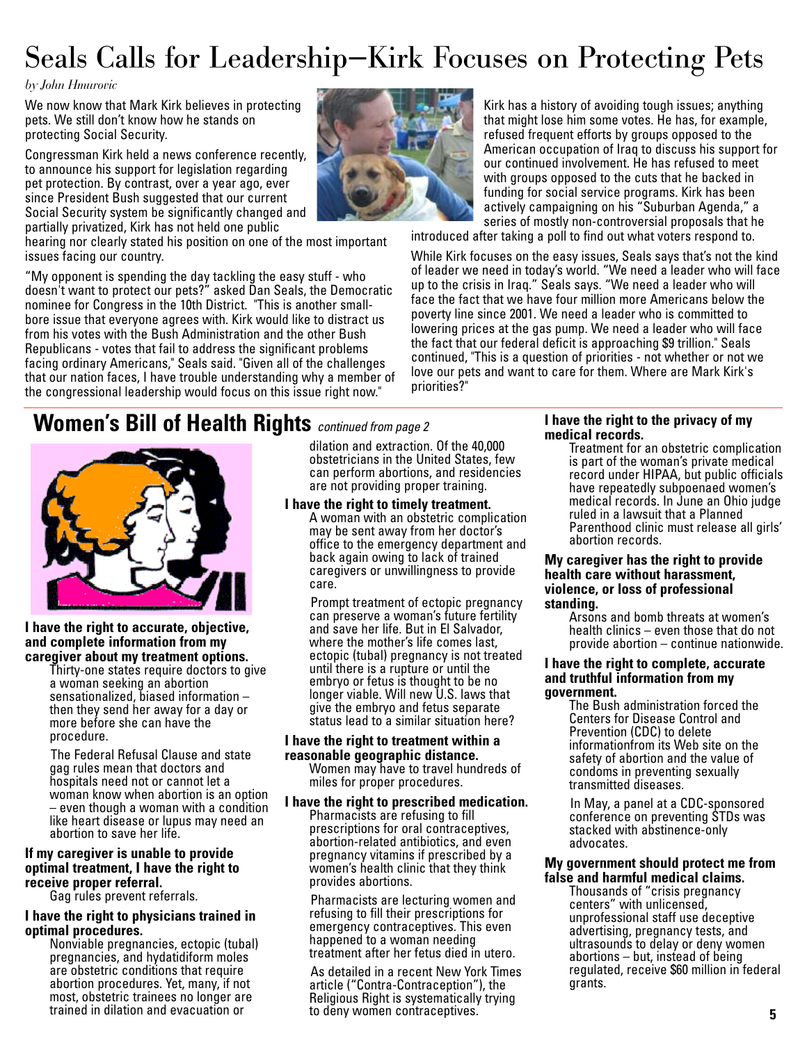## Seals Calls for Leadership—Kirk Focuses on Protecting Pets

#### *by John Hmurovic*

We now know that Mark Kirk believes in protecting pets. We still don't know how he stands on protecting Social Security.

Congressman Kirk held a news conference recently, to announce his support for legislation regarding pet protection. By contrast, over a year ago, ever since President Bush suggested that our current Social Security system be significantly changed and partially privatized, Kirk has not held one public

hearing nor clearly stated his position on one of the most important issues facing our country.

"My opponent is spending the day tackling the easy stuff - who doesn't want to protect our pets?" asked Dan Seals, the Democratic nominee for Congress in the 10th District. "This is another smallbore issue that everyone agrees with. Kirk would like to distract us from his votes with the Bush Administration and the other Bush Republicans - votes that fail to address the significant problems facing ordinary Americans," Seals said. "Given all of the challenges that our nation faces, I have trouble understanding why a member of the congressional leadership would focus on this issue right now."



Kirk has a history of avoiding tough issues; anything that might lose him some votes. He has, for example, refused frequent efforts by groups opposed to the American occupation of Iraq to discuss his support for our continued involvement. He has refused to meet with groups opposed to the cuts that he backed in funding for social service programs. Kirk has been actively campaigning on his "Suburban Agenda," a series of mostly non-controversial proposals that he

introduced after taking a poll to find out what voters respond to.

While Kirk focuses on the easy issues, Seals says that's not the kind of leader we need in today's world. "We need a leader who will face up to the crisis in Iraq." Seals says. "We need a leader who will face the fact that we have four million more Americans below the poverty line since 2001. We need a leader who is committed to lowering prices at the gas pump. We need a leader who will face the fact that our federal deficit is approaching \$9 trillion." Seals continued, "This is a question of priorities - not whether or not we love our pets and want to care for them. Where are Mark Kirk's priorities?"

### **Women's Bill of Health Rights** *continued from page 2*



**I have the right to accurate, objective, and complete information from my caregiver about my treatment options.** 

Thirty-one states require doctors to give a woman seeking an abortion sensationalized, biased information – then they send her away for a day or more before she can have the procedure.

The Federal Refusal Clause and state gag rules mean that doctors and hospitals need not or cannot let a woman know when abortion is an option – even though a woman with a condition like heart disease or lupus may need an abortion to save her life.

#### **If my caregiver is unable to provide optimal treatment, I have the right to receive proper referral.** Gag rules prevent referrals.

#### **I have the right to physicians trained in optimal procedures.** Nonviable pregnancies, ectopic (tubal)

pregnancies, and hydatidiform moles are obstetric conditions that require abortion procedures. Yet, many, if not most, obstetric trainees no longer are trained in dilation and evacuation or

dilation and extraction. Of the 40,000 obstetricians in the United States, few can perform abortions, and residencies are not providing proper training.

#### **I have the right to timely treatment.**

A woman with an obstetric complication may be sent away from her doctor's office to the emergency department and back again owing to lack of trained caregivers or unwillingness to provide care.

Prompt treatment of ectopic pregnancy can preserve a woman's future fertility and save her life. But in El Salvador, where the mother's life comes last, ectopic (tubal) pregnancy is not treated until there is a rupture or until the embryo or fetus is thought to be no longer viable. Will new U.S. laws that give the embryo and fetus separate status lead to a similar situation here?

#### **I have the right to treatment within a reasonable geographic distance.**

Women may have to travel hundreds of miles for proper procedures.

#### **I have the right to prescribed medication.** Pharmacists are refusing to fill prescriptions for oral contraceptives, abortion-related antibiotics, and even pregnancy vitamins if prescribed by a women's health clinic that they think provides abortions.

Pharmacists are lecturing women and refusing to fill their prescriptions for emergency contraceptives. This even happened to a woman needing treatment after her fetus died in utero.

As detailed in a recent New York Times article ("Contra-Contraception"), the Religious Right is systematically trying to deny women contraceptives.

#### **I have the right to the privacy of my medical records.**

Treatment for an obstetric complication is part of the woman's private medical record under HIPAA, but public officials have repeatedly subpoenaed women's medical records. In June an Ohio judge ruled in a lawsuit that a Planned Parenthood clinic must release all girls' abortion records.

#### **My caregiver has the right to provide health care without harassment, violence, or loss of professional standing.**

Arsons and bomb threats at women's health clinics – even those that do not provide abortion – continue nationwide.

#### **I have the right to complete, accurate and truthful information from my government.**

The Bush administration forced the Centers for Disease Control and Prevention (CDC) to delete informationfrom its Web site on the safety of abortion and the value of condoms in preventing sexually transmitted diseases.

In May, a panel at a CDC-sponsored conference on preventing STDs was stacked with abstinence-only advocates.

#### **My government should protect me from false and harmful medical claims.**

Thousands of "crisis pregnancy centers" with unlicensed, unprofessional staff use deceptive advertising, pregnancy tests, and ultrasounds to delay or deny women abortions – but, instead of being regulated, receive \$60 million in federal grants.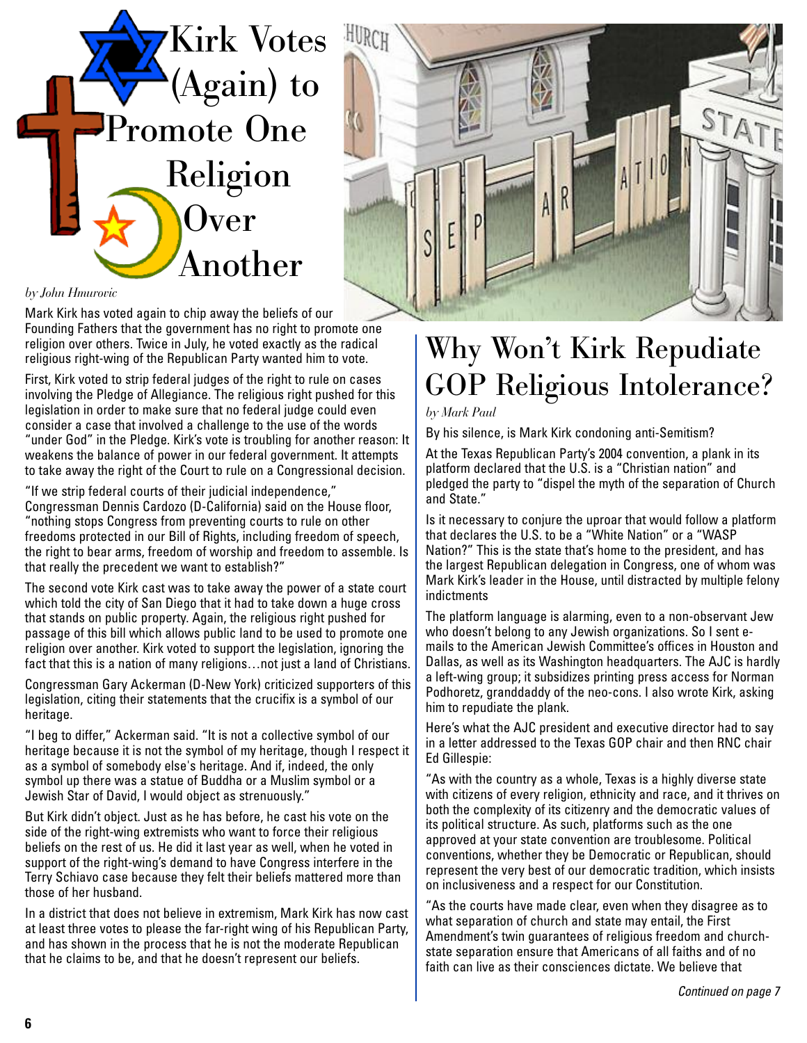



#### *by John Hmurovic*

Mark Kirk has voted again to chip away the beliefs of our Founding Fathers that the government has no right to promote one religion over others. Twice in July, he voted exactly as the radical religious right-wing of the Republican Party wanted him to vote.

First, Kirk voted to strip federal judges of the right to rule on cases involving the Pledge of Allegiance. The religious right pushed for this legislation in order to make sure that no federal judge could even consider a case that involved a challenge to the use of the words "under God" in the Pledge. Kirk's vote is troubling for another reason: It weakens the balance of power in our federal government. It attempts to take away the right of the Court to rule on a Congressional decision.

"If we strip federal courts of their judicial independence," Congressman Dennis Cardozo (D-California) said on the House floor, "nothing stops Congress from preventing courts to rule on other freedoms protected in our Bill of Rights, including freedom of speech, the right to bear arms, freedom of worship and freedom to assemble. Is that really the precedent we want to establish?"

The second vote Kirk cast was to take away the power of a state court which told the city of San Diego that it had to take down a huge cross that stands on public property. Again, the religious right pushed for passage of this bill which allows public land to be used to promote one religion over another. Kirk voted to support the legislation, ignoring the fact that this is a nation of many religions…not just a land of Christians.

Congressman Gary Ackerman (D-New York) criticized supporters of this legislation, citing their statements that the crucifix is a symbol of our heritage.

"I beg to differ," Ackerman said. "It is not a collective symbol of our heritage because it is not the symbol of my heritage, though I respect it as a symbol of somebody else's heritage. And if, indeed, the only symbol up there was a statue of Buddha or a Muslim symbol or a Jewish Star of David, I would object as strenuously."

But Kirk didn't object. Just as he has before, he cast his vote on the side of the right-wing extremists who want to force their religious beliefs on the rest of us. He did it last year as well, when he voted in support of the right-wing's demand to have Congress interfere in the Terry Schiavo case because they felt their beliefs mattered more than those of her husband.

In a district that does not believe in extremism, Mark Kirk has now cast at least three votes to please the far-right wing of his Republican Party, and has shown in the process that he is not the moderate Republican that he claims to be, and that he doesn't represent our beliefs.

## Why Won't Kirk Repudiate GOP Religious Intolerance?

*by Mark Paul*

By his silence, is Mark Kirk condoning anti-Semitism?

At the Texas Republican Party's 2004 convention, a plank in its platform declared that the U.S. is a "Christian nation" and pledged the party to "dispel the myth of the separation of Church and State."

Is it necessary to conjure the uproar that would follow a platform that declares the U.S. to be a "White Nation" or a "WASP Nation?" This is the state that's home to the president, and has the largest Republican delegation in Congress, one of whom was Mark Kirk's leader in the House, until distracted by multiple felony indictments

The platform language is alarming, even to a non-observant Jew who doesn't belong to any Jewish organizations. So I sent emails to the American Jewish Committee's offices in Houston and Dallas, as well as its Washington headquarters. The AJC is hardly a left-wing group; it subsidizes printing press access for Norman Podhoretz, granddaddy of the neo-cons. I also wrote Kirk, asking him to repudiate the plank.

Here's what the AJC president and executive director had to say in a letter addressed to the Texas GOP chair and then RNC chair Ed Gillespie:

"As with the country as a whole, Texas is a highly diverse state with citizens of every religion, ethnicity and race, and it thrives on both the complexity of its citizenry and the democratic values of its political structure. As such, platforms such as the one approved at your state convention are troublesome. Political conventions, whether they be Democratic or Republican, should represent the very best of our democratic tradition, which insists on inclusiveness and a respect for our Constitution.

"As the courts have made clear, even when they disagree as to what separation of church and state may entail, the First Amendment's twin guarantees of religious freedom and churchstate separation ensure that Americans of all faiths and of no faith can live as their consciences dictate. We believe that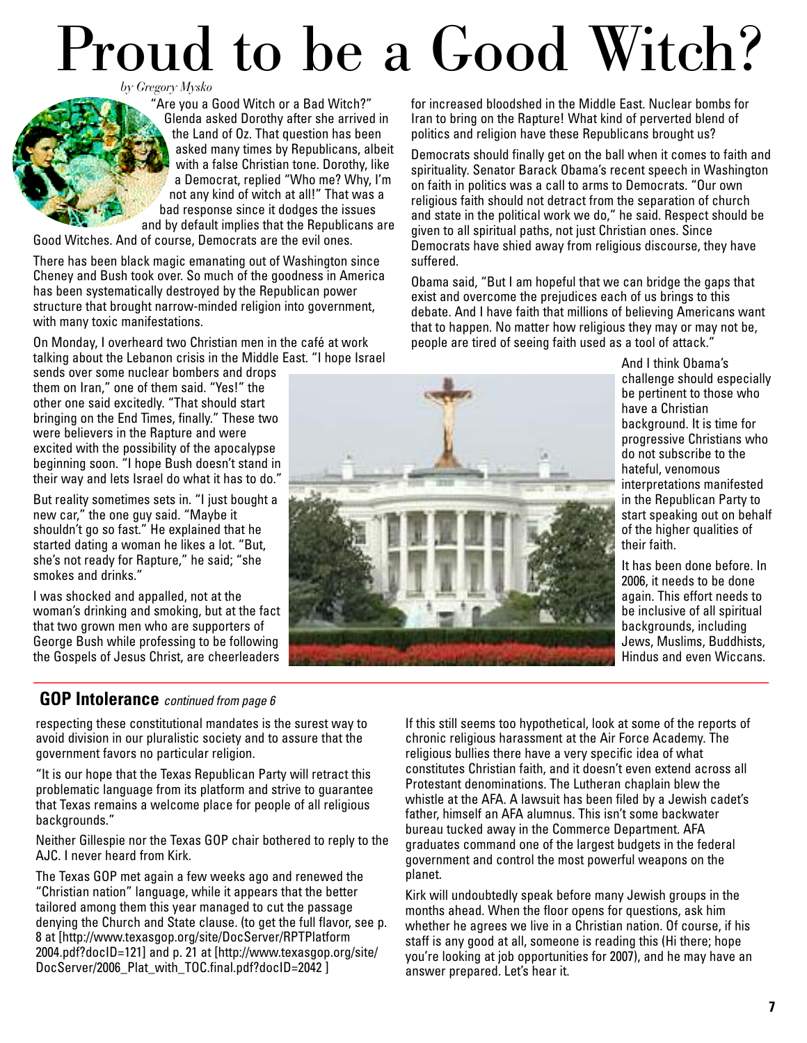# Proud to be a Good Witch?

*by Gregory Mysko*

"Are you a Good Witch or a Bad Witch?" Glenda asked Dorothy after she arrived in the Land of Oz. That question has been asked many times by Republicans, albeit with a false Christian tone. Dorothy, like a Democrat, replied "Who me? Why, I'm not any kind of witch at all!" That was a bad response since it dodges the issues and by default implies that the Republicans are

Good Witches. And of course, Democrats are the evil ones.

There has been black magic emanating out of Washington since Cheney and Bush took over. So much of the goodness in America has been systematically destroyed by the Republican power structure that brought narrow-minded religion into government, with many toxic manifestations.

On Monday, I overheard two Christian men in the café at work talking about the Lebanon crisis in the Middle East. "I hope Israel

sends over some nuclear bombers and drops them on Iran," one of them said. "Yes!" the other one said excitedly. "That should start bringing on the End Times, finally." These two were believers in the Rapture and were excited with the possibility of the apocalypse beginning soon. "I hope Bush doesn't stand in their way and lets Israel do what it has to do."

But reality sometimes sets in. "I just bought a new car," the one guy said. "Maybe it shouldn't go so fast." He explained that he started dating a woman he likes a lot. "But, she's not ready for Rapture," he said; "she smokes and drinks."

I was shocked and appalled, not at the woman's drinking and smoking, but at the fact that two grown men who are supporters of George Bush while professing to be following the Gospels of Jesus Christ, are cheerleaders

#### **GOP Intolerance** *continued from page 6*

respecting these constitutional mandates is the surest way to avoid division in our pluralistic society and to assure that the government favors no particular religion.

"It is our hope that the Texas Republican Party will retract this problematic language from its platform and strive to guarantee that Texas remains a welcome place for people of all religious backgrounds."

Neither Gillespie nor the Texas GOP chair bothered to reply to the AJC. I never heard from Kirk.

The Texas GOP met again a few weeks ago and renewed the "Christian nation" language, while it appears that the better tailored among them this year managed to cut the passage denying the Church and State clause. (to get the full flavor, see p. 8 at [http://www.texasgop.org/site/DocServer/RPTPlatform 2004.pdf?docID=121] and p. 21 at [http://www.texasgop.org/site/ DocServer/2006 Plat with TOC.final.pdf?docID=2042 ]

for increased bloodshed in the Middle East. Nuclear bombs for Iran to bring on the Rapture! What kind of perverted blend of politics and religion have these Republicans brought us?

Democrats should finally get on the ball when it comes to faith and spirituality. Senator Barack Obama's recent speech in Washington on faith in politics was a call to arms to Democrats. "Our own religious faith should not detract from the separation of church and state in the political work we do," he said. Respect should be given to all spiritual paths, not just Christian ones. Since Democrats have shied away from religious discourse, they have suffered.

Obama said, "But I am hopeful that we can bridge the gaps that exist and overcome the prejudices each of us brings to this debate. And I have faith that millions of believing Americans want that to happen. No matter how religious they may or may not be, people are tired of seeing faith used as a tool of attack."



And I think Obama's challenge should especially be pertinent to those who have a Christian background. It is time for progressive Christians who do not subscribe to the hateful, venomous interpretations manifested in the Republican Party to start speaking out on behalf of the higher qualities of their faith.

It has been done before. In 2006, it needs to be done again. This effort needs to be inclusive of all spiritual backgrounds, including Jews, Muslims, Buddhists, Hindus and even Wiccans.

If this still seems too hypothetical, look at some of the reports of chronic religious harassment at the Air Force Academy. The religious bullies there have a very specific idea of what constitutes Christian faith, and it doesn't even extend across all Protestant denominations. The Lutheran chaplain blew the whistle at the AFA. A lawsuit has been filed by a Jewish cadet's father, himself an AFA alumnus. This isn't some backwater bureau tucked away in the Commerce Department. AFA graduates command one of the largest budgets in the federal government and control the most powerful weapons on the planet.

Kirk will undoubtedly speak before many Jewish groups in the months ahead. When the floor opens for questions, ask him whether he agrees we live in a Christian nation. Of course, if his staff is any good at all, someone is reading this (Hi there; hope you're looking at job opportunities for 2007), and he may have an answer prepared. Let's hear it.